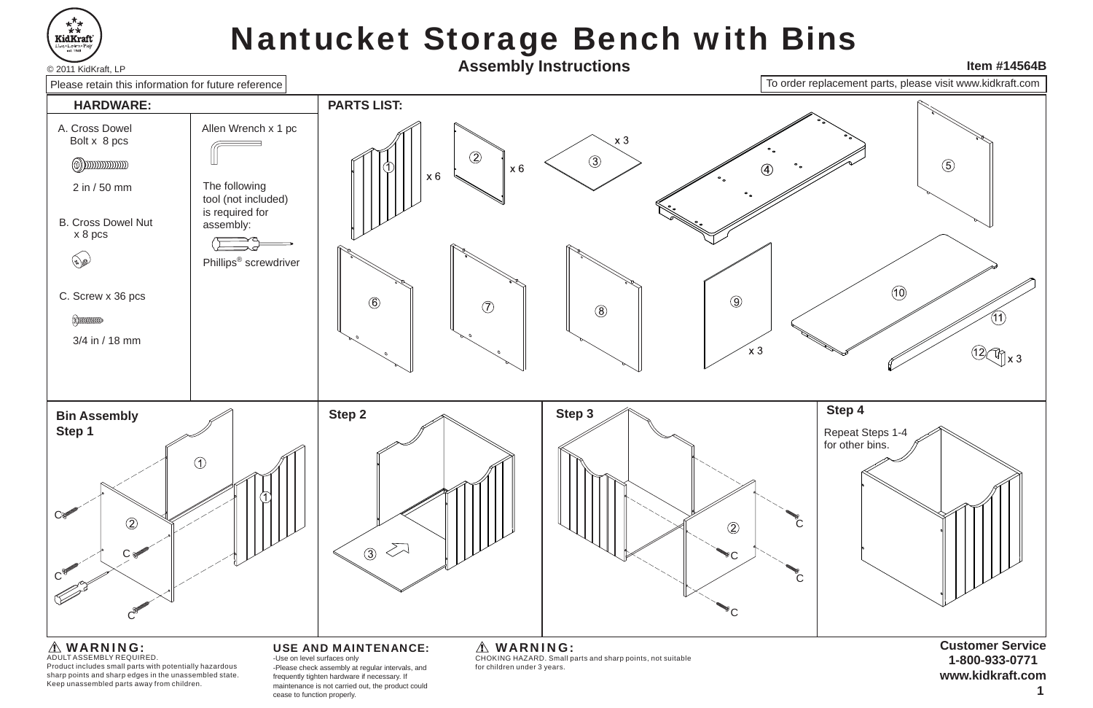

# Nantucket Storage Bench with Bins



maintenance is not carried out, the product could cease to function properly.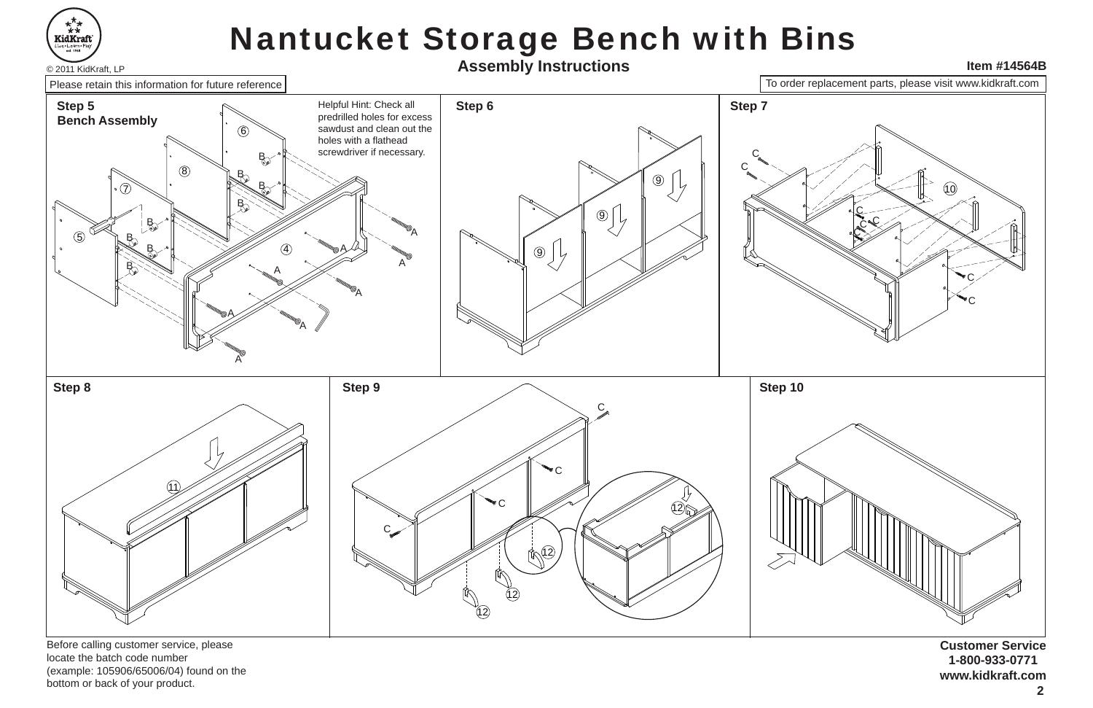